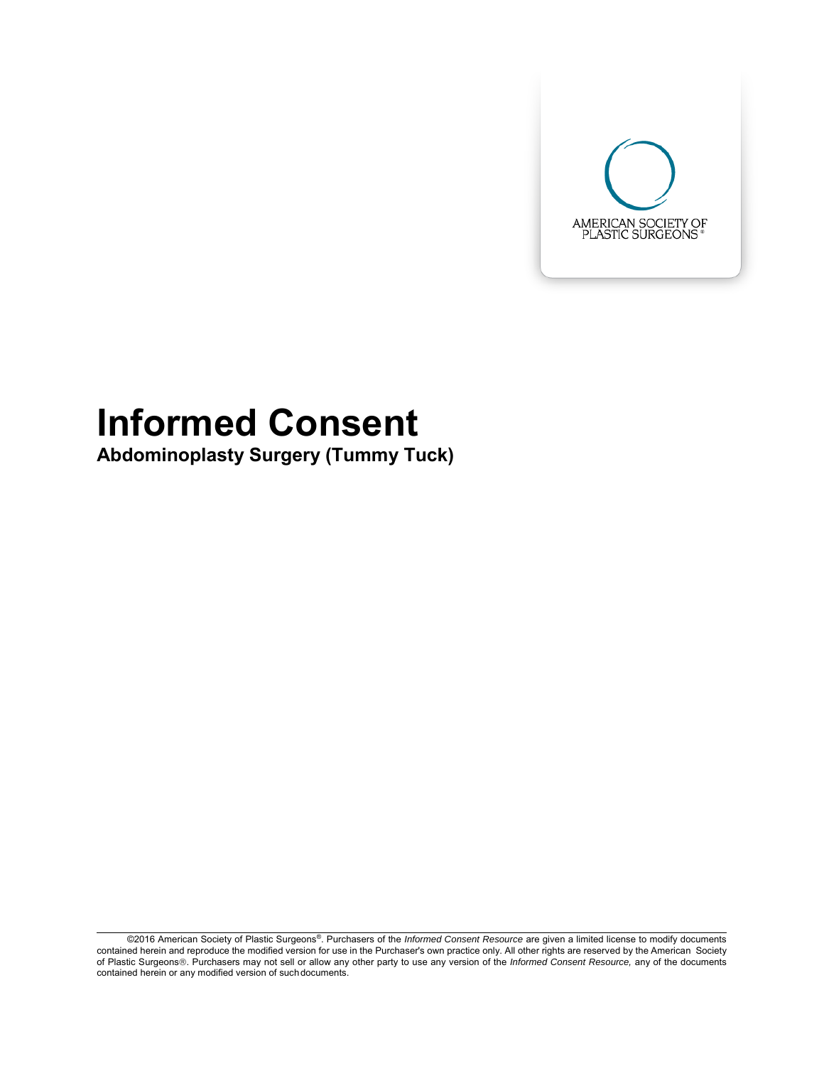

# **Informed Consent**

**Abdominoplasty Surgery (Tummy Tuck)**

<sup>©2016</sup> American Society of Plastic Surgeons®. Purchasers of the *Informed Consent Resource* are given a limited license to modify documents contained herein and reproduce the modified version for use in the Purchaser's own practice only. All other rights are reserved by the American Society of Plastic Surgeons®. Purchasers may not sell or allow any other party to use any version of the *Informed Consent Resource*, any of the documents contained herein or any modified version of suchdocuments.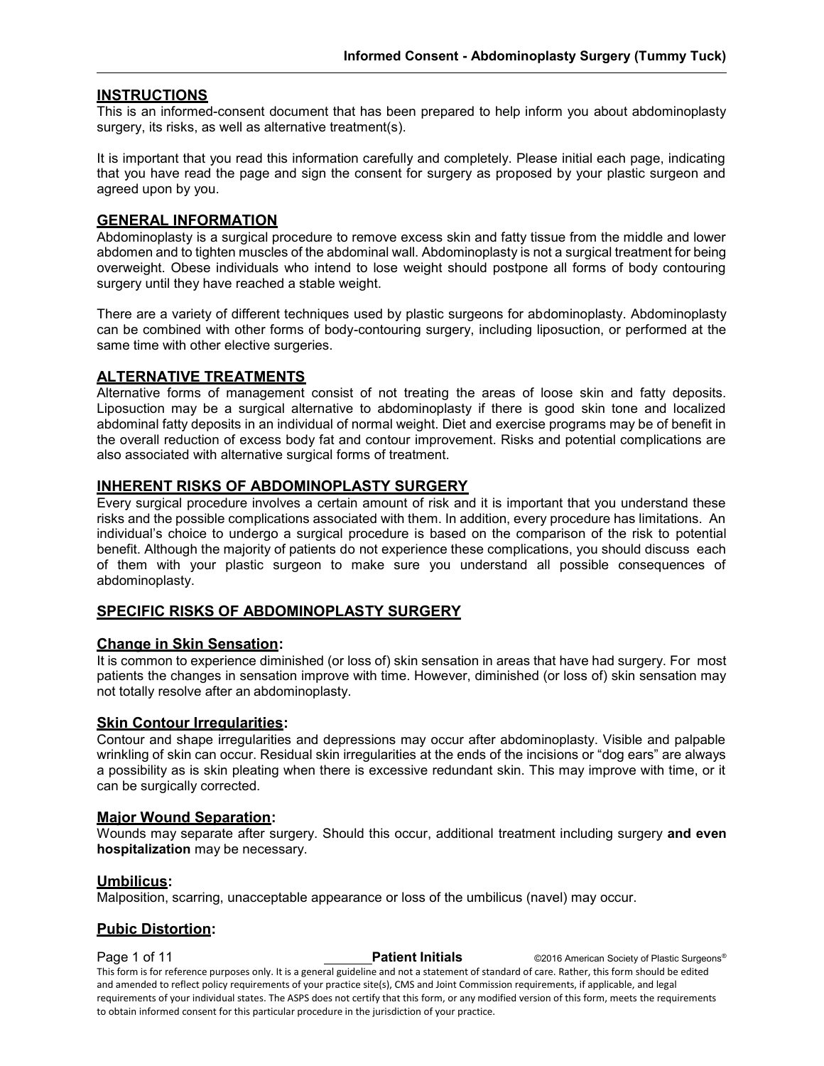#### **INSTRUCTIONS**

This is an informed-consent document that has been prepared to help inform you about abdominoplasty surgery, its risks, as well as alternative treatment(s).

It is important that you read this information carefully and completely. Please initial each page, indicating that you have read the page and sign the consent for surgery as proposed by your plastic surgeon and agreed upon by you.

#### **GENERAL INFORMATION**

Abdominoplasty is a surgical procedure to remove excess skin and fatty tissue from the middle and lower abdomen and to tighten muscles of the abdominal wall. Abdominoplasty is not a surgical treatment for being overweight. Obese individuals who intend to lose weight should postpone all forms of body contouring surgery until they have reached a stable weight.

There are a variety of different techniques used by plastic surgeons for abdominoplasty. Abdominoplasty can be combined with other forms of body-contouring surgery, including liposuction, or performed at the same time with other elective surgeries.

#### **ALTERNATIVE TREATMENTS**

Alternative forms of management consist of not treating the areas of loose skin and fatty deposits. Liposuction may be a surgical alternative to abdominoplasty if there is good skin tone and localized abdominal fatty deposits in an individual of normal weight. Diet and exercise programs may be of benefit in the overall reduction of excess body fat and contour improvement. Risks and potential complications are also associated with alternative surgical forms of treatment.

#### **INHERENT RISKS OF ABDOMINOPLASTY SURGERY**

Every surgical procedure involves a certain amount of risk and it is important that you understand these risks and the possible complications associated with them. In addition, every procedure has limitations. An individual's choice to undergo a surgical procedure is based on the comparison of the risk to potential benefit. Although the majority of patients do not experience these complications, you should discuss each of them with your plastic surgeon to make sure you understand all possible consequences of abdominoplasty.

#### **SPECIFIC RISKS OF ABDOMINOPLASTY SURGERY**

#### **Change in Skin Sensation:**

It is common to experience diminished (or loss of) skin sensation in areas that have had surgery. For most patients the changes in sensation improve with time. However, diminished (or loss of) skin sensation may not totally resolve after an abdominoplasty.

#### **Skin Contour Irregularities:**

Contour and shape irregularities and depressions may occur after abdominoplasty. Visible and palpable wrinkling of skin can occur. Residual skin irregularities at the ends of the incisions or "dog ears" are always a possibility as is skin pleating when there is excessive redundant skin. This may improve with time, or it can be surgically corrected.

#### **Major Wound Separation:**

Wounds may separate after surgery. Should this occur, additional treatment including surgery **and even hospitalization** may be necessary.

#### **Umbilicus:**

Malposition, scarring, unacceptable appearance or loss of the umbilicus (navel) may occur.

#### **Pubic Distortion:**

**Page 1 of 11 Patient Initials** ©2016 American Society of Plastic Surgeons<sup>®</sup> This form is for reference purposes only. It is a general guideline and not a statement of standard of care. Rather, this form should be edited and amended to reflect policy requirements of your practice site(s), CMS and Joint Commission requirements, if applicable, and legal requirements of your individual states. The ASPS does not certify that this form, or any modified version of this form, meets the requirements to obtain informed consent for this particular procedure in the jurisdiction of your practice.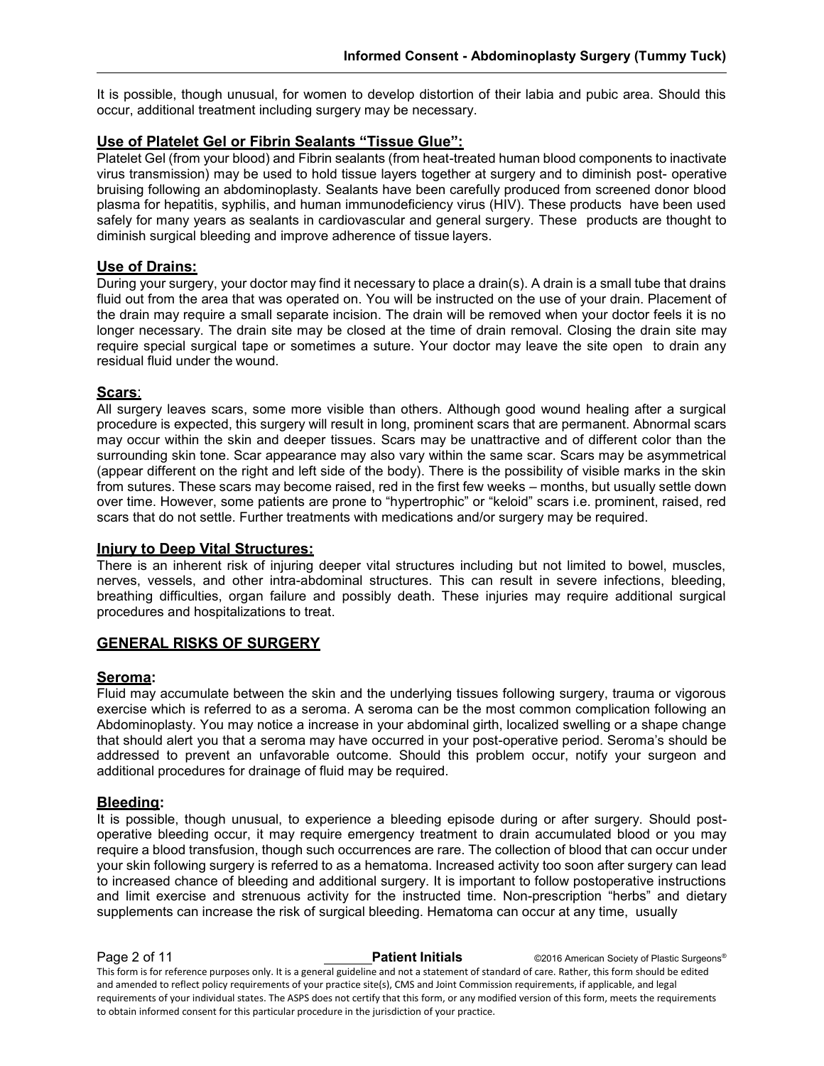It is possible, though unusual, for women to develop distortion of their labia and pubic area. Should this occur, additional treatment including surgery may be necessary.

#### **Use of Platelet Gel or Fibrin Sealants "Tissue Glue":**

Platelet Gel (from your blood) and Fibrin sealants (from heat-treated human blood components to inactivate virus transmission) may be used to hold tissue layers together at surgery and to diminish post- operative bruising following an abdominoplasty. Sealants have been carefully produced from screened donor blood plasma for hepatitis, syphilis, and human immunodeficiency virus (HIV). These products have been used safely for many years as sealants in cardiovascular and general surgery. These products are thought to diminish surgical bleeding and improve adherence of tissue layers.

#### **Use of Drains:**

During your surgery, your doctor may find it necessary to place a drain(s). A drain is a small tube that drains fluid out from the area that was operated on. You will be instructed on the use of your drain. Placement of the drain may require a small separate incision. The drain will be removed when your doctor feels it is no longer necessary. The drain site may be closed at the time of drain removal. Closing the drain site may require special surgical tape or sometimes a suture. Your doctor may leave the site open to drain any residual fluid under the wound.

#### **Scars**:

All surgery leaves scars, some more visible than others. Although good wound healing after a surgical procedure is expected, this surgery will result in long, prominent scars that are permanent. Abnormal scars may occur within the skin and deeper tissues. Scars may be unattractive and of different color than the surrounding skin tone. Scar appearance may also vary within the same scar. Scars may be asymmetrical (appear different on the right and left side of the body). There is the possibility of visible marks in the skin from sutures. These scars may become raised, red in the first few weeks – months, but usually settle down over time. However, some patients are prone to "hypertrophic" or "keloid" scars i.e. prominent, raised, red scars that do not settle. Further treatments with medications and/or surgery may be required.

#### **Injury to Deep Vital Structures:**

There is an inherent risk of injuring deeper vital structures including but not limited to bowel, muscles, nerves, vessels, and other intra-abdominal structures. This can result in severe infections, bleeding, breathing difficulties, organ failure and possibly death. These injuries may require additional surgical procedures and hospitalizations to treat.

#### **GENERAL RISKS OF SURGERY**

#### **Seroma:**

Fluid may accumulate between the skin and the underlying tissues following surgery, trauma or vigorous exercise which is referred to as a seroma. A seroma can be the most common complication following an Abdominoplasty. You may notice a increase in your abdominal girth, localized swelling or a shape change that should alert you that a seroma may have occurred in your post-operative period. Seroma's should be addressed to prevent an unfavorable outcome. Should this problem occur, notify your surgeon and additional procedures for drainage of fluid may be required.

#### **Bleeding:**

It is possible, though unusual, to experience a bleeding episode during or after surgery. Should postoperative bleeding occur, it may require emergency treatment to drain accumulated blood or you may require a blood transfusion, though such occurrences are rare. The collection of blood that can occur under your skin following surgery is referred to as a hematoma. Increased activity too soon after surgery can lead to increased chance of bleeding and additional surgery. It is important to follow postoperative instructions and limit exercise and strenuous activity for the instructed time. Non-prescription "herbs" and dietary supplements can increase the risk of surgical bleeding. Hematoma can occur at any time, usually

**Page 2 of 11 Patient Initials** ©2016 American Society of Plastic Surgeons<sup>®</sup> This form is for reference purposes only. It is a general guideline and not a statement of standard of care. Rather, this form should be edited and amended to reflect policy requirements of your practice site(s), CMS and Joint Commission requirements, if applicable, and legal requirements of your individual states. The ASPS does not certify that this form, or any modified version of this form, meets the requirements to obtain informed consent for this particular procedure in the jurisdiction of your practice.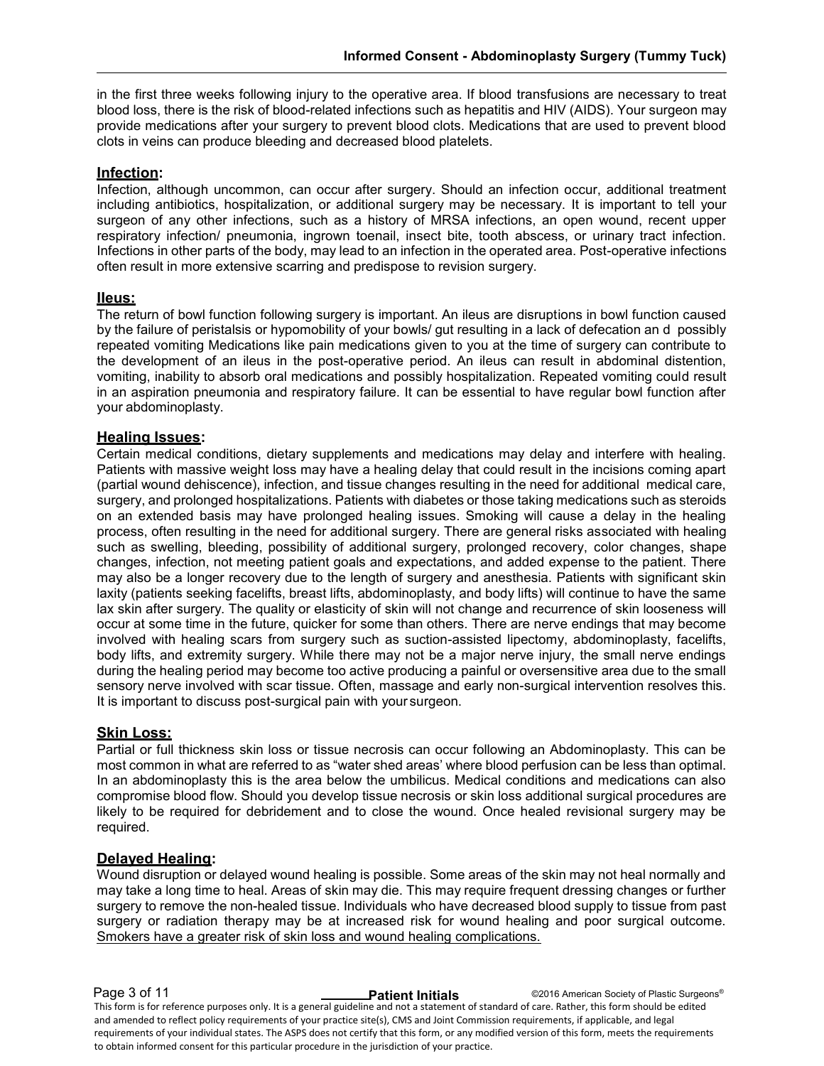in the first three weeks following injury to the operative area. If blood transfusions are necessary to treat blood loss, there is the risk of blood-related infections such as hepatitis and HIV (AIDS). Your surgeon may provide medications after your surgery to prevent blood clots. Medications that are used to prevent blood clots in veins can produce bleeding and decreased blood platelets.

#### **Infection:**

Infection, although uncommon, can occur after surgery. Should an infection occur, additional treatment including antibiotics, hospitalization, or additional surgery may be necessary. It is important to tell your surgeon of any other infections, such as a history of MRSA infections, an open wound, recent upper respiratory infection/ pneumonia, ingrown toenail, insect bite, tooth abscess, or urinary tract infection. Infections in other parts of the body, may lead to an infection in the operated area. Post-operative infections often result in more extensive scarring and predispose to revision surgery.

#### **IIeus:**

The return of bowl function following surgery is important. An ileus are disruptions in bowl function caused by the failure of peristalsis or hypomobility of your bowls/ gut resulting in a lack of defecation an d possibly repeated vomiting Medications like pain medications given to you at the time of surgery can contribute to the development of an ileus in the post-operative period. An ileus can result in abdominal distention, vomiting, inability to absorb oral medications and possibly hospitalization. Repeated vomiting could result in an aspiration pneumonia and respiratory failure. It can be essential to have regular bowl function after your abdominoplasty.

#### **Healing Issues:**

Certain medical conditions, dietary supplements and medications may delay and interfere with healing. Patients with massive weight loss may have a healing delay that could result in the incisions coming apart (partial wound dehiscence), infection, and tissue changes resulting in the need for additional medical care, surgery, and prolonged hospitalizations. Patients with diabetes or those taking medications such as steroids on an extended basis may have prolonged healing issues. Smoking will cause a delay in the healing process, often resulting in the need for additional surgery. There are general risks associated with healing such as swelling, bleeding, possibility of additional surgery, prolonged recovery, color changes, shape changes, infection, not meeting patient goals and expectations, and added expense to the patient. There may also be a longer recovery due to the length of surgery and anesthesia. Patients with significant skin laxity (patients seeking facelifts, breast lifts, abdominoplasty, and body lifts) will continue to have the same lax skin after surgery. The quality or elasticity of skin will not change and recurrence of skin looseness will occur at some time in the future, quicker for some than others. There are nerve endings that may become involved with healing scars from surgery such as suction-assisted lipectomy, abdominoplasty, facelifts, body lifts, and extremity surgery. While there may not be a major nerve injury, the small nerve endings during the healing period may become too active producing a painful or oversensitive area due to the small sensory nerve involved with scar tissue. Often, massage and early non-surgical intervention resolves this. It is important to discuss post-surgical pain with your surgeon.

#### **Skin Loss:**

Partial or full thickness skin loss or tissue necrosis can occur following an Abdominoplasty. This can be most common in what are referred to as "water shed areas' where blood perfusion can be less than optimal. In an abdominoplasty this is the area below the umbilicus. Medical conditions and medications can also compromise blood flow. Should you develop tissue necrosis or skin loss additional surgical procedures are likely to be required for debridement and to close the wound. Once healed revisional surgery may be required.

#### **Delayed Healing:**

Wound disruption or delayed wound healing is possible. Some areas of the skin may not heal normally and may take a long time to heal. Areas of skin may die. This may require frequent dressing changes or further surgery to remove the non-healed tissue. Individuals who have decreased blood supply to tissue from past surgery or radiation therapy may be at increased risk for wound healing and poor surgical outcome. Smokers have a greater risk of skin loss and wound healing complications.

**Page 3 of 11 Patient Initials COVID BY American Society of Plastic Surgeons<sup>®</sup>** 

This form is for reference purposes only. It is a general guideline and not a statement of standard of care. Rather, this form should be edited and amended to reflect policy requirements of your practice site(s), CMS and Joint Commission requirements, if applicable, and legal requirements of your individual states. The ASPS does not certify that this form, or any modified version of this form, meets the requirements to obtain informed consent for this particular procedure in the jurisdiction of your practice.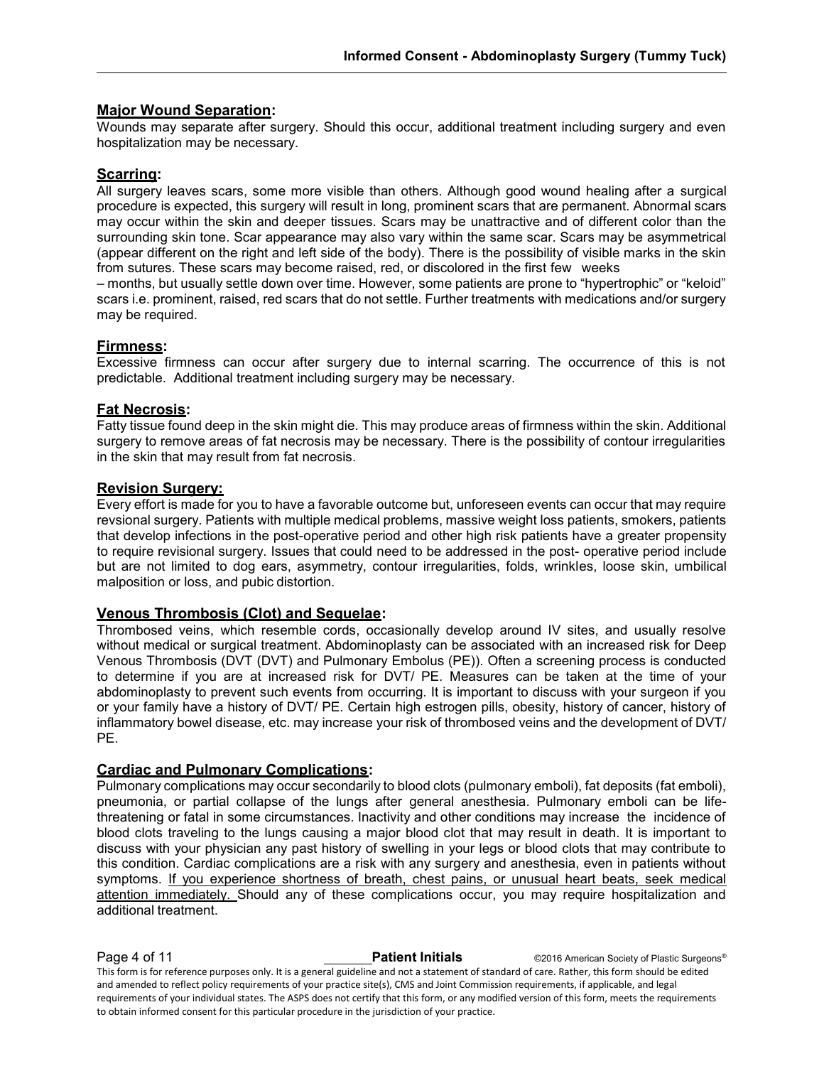#### **Major Wound Separation:**

Wounds may separate after surgery. Should this occur, additional treatment including surgery and even hospitalization may be necessary.

#### **Scarring:**

All surgery leaves scars, some more visible than others. Although good wound healing after a surgical procedure is expected, this surgery will result in long, prominent scars that are permanent. Abnormal scars may occur within the skin and deeper tissues. Scars may be unattractive and of different color than the surrounding skin tone. Scar appearance may also vary within the same scar. Scars may be asymmetrical (appear different on the right and left side of the body). There is the possibility of visible marks in the skin from sutures. These scars may become raised, red, or discolored in the first few weeks

– months, but usually settle down over time. However, some patients are prone to "hypertrophic" or "keloid" scars i.e. prominent, raised, red scars that do not settle. Further treatments with medications and/or surgery may be required.

#### **Firmness:**

Excessive firmness can occur after surgery due to internal scarring. The occurrence of this is not predictable. Additional treatment including surgery may be necessary.

#### **Fat Necrosis:**

Fatty tissue found deep in the skin might die. This may produce areas of firmness within the skin. Additional surgery to remove areas of fat necrosis may be necessary. There is the possibility of contour irregularities in the skin that may result from fat necrosis.

#### **Revision Surgery:**

Every effort is made for you to have a favorable outcome but, unforeseen events can occur that may require revsional surgery. Patients with multiple medical problems, massive weight loss patients, smokers, patients that develop infections in the post-operative period and other high risk patients have a greater propensity to require revisional surgery. Issues that could need to be addressed in the post- operative period include but are not limited to dog ears, asymmetry, contour irregularities, folds, wrinkles, loose skin, umbilical malposition or loss, and pubic distortion.

#### **Venous Thrombosis (Clot) and Sequelae:**

Thrombosed veins, which resemble cords, occasionally develop around IV sites, and usually resolve without medical or surgical treatment. Abdominoplasty can be associated with an increased risk for Deep Venous Thrombosis (DVT (DVT) and Pulmonary Embolus (PE)). Often a screening process is conducted to determine if you are at increased risk for DVT/ PE. Measures can be taken at the time of your abdominoplasty to prevent such events from occurring. It is important to discuss with your surgeon if you or your family have a history of DVT/ PE. Certain high estrogen pills, obesity, history of cancer, history of inflammatory bowel disease, etc. may increase your risk of thrombosed veins and the development of DVT/ PE.

#### **Cardiac and Pulmonary Complications:**

Pulmonary complications may occur secondarily to blood clots (pulmonary emboli), fat deposits (fat emboli), pneumonia, or partial collapse of the lungs after general anesthesia. Pulmonary emboli can be lifethreatening or fatal in some circumstances. Inactivity and other conditions may increase the incidence of blood clots traveling to the lungs causing a major blood clot that may result in death. It is important to discuss with your physician any past history of swelling in your legs or blood clots that may contribute to this condition. Cardiac complications are a risk with any surgery and anesthesia, even in patients without symptoms. If you experience shortness of breath, chest pains, or unusual heart beats, seek medical attention immediately. Should any of these complications occur, you may require hospitalization and additional treatment.

**Page 4 of 11 Patient Initials** ©2016 American Society of Plastic Surgeons<sup>®</sup> This form is for reference purposes only. It is a general guideline and not a statement of standard of care. Rather, this form should be edited and amended to reflect policy requirements of your practice site(s), CMS and Joint Commission requirements, if applicable, and legal requirements of your individual states. The ASPS does not certify that this form, or any modified version of this form, meets the requirements to obtain informed consent for this particular procedure in the jurisdiction of your practice.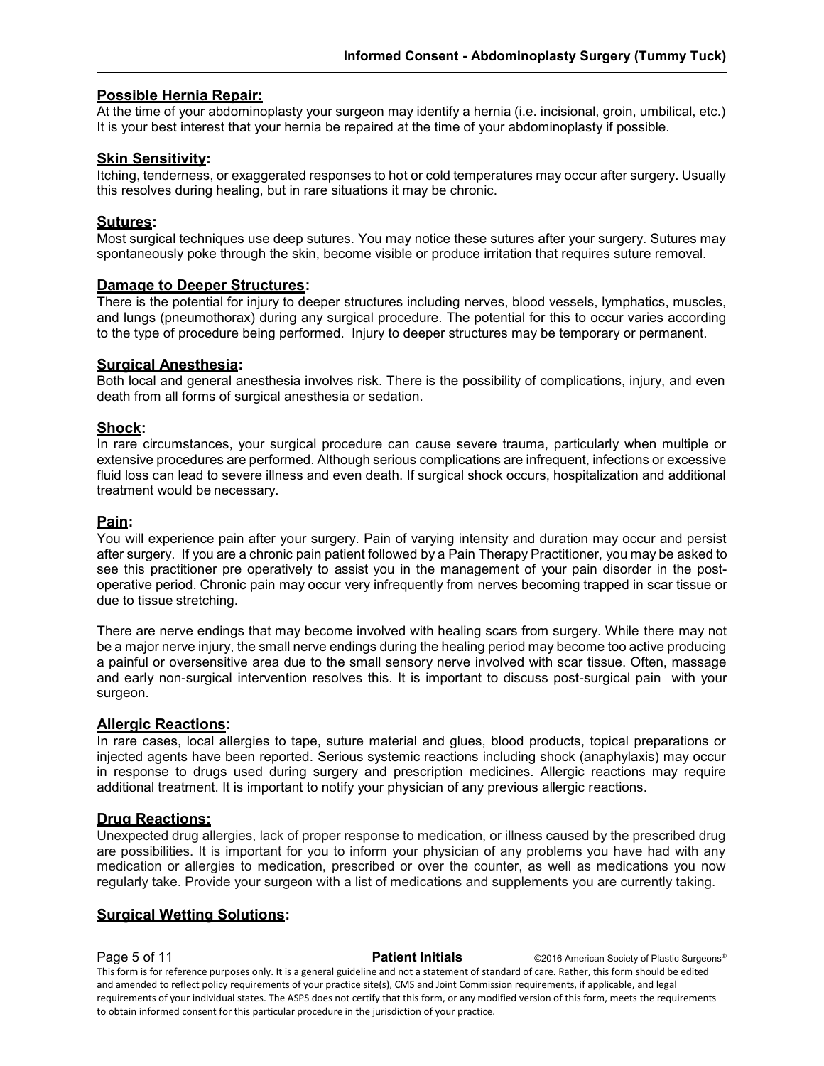#### **Possible Hernia Repair:**

At the time of your abdominoplasty your surgeon may identify a hernia (i.e. incisional, groin, umbilical, etc.) It is your best interest that your hernia be repaired at the time of your abdominoplasty if possible.

#### **Skin Sensitivity:**

Itching, tenderness, or exaggerated responses to hot or cold temperatures may occur after surgery. Usually this resolves during healing, but in rare situations it may be chronic.

#### **Sutures:**

Most surgical techniques use deep sutures. You may notice these sutures after your surgery. Sutures may spontaneously poke through the skin, become visible or produce irritation that requires suture removal.

#### **Damage to Deeper Structures:**

There is the potential for injury to deeper structures including nerves, blood vessels, lymphatics, muscles, and lungs (pneumothorax) during any surgical procedure. The potential for this to occur varies according to the type of procedure being performed. Injury to deeper structures may be temporary or permanent.

#### **Surgical Anesthesia:**

Both local and general anesthesia involves risk. There is the possibility of complications, injury, and even death from all forms of surgical anesthesia or sedation.

#### **Shock:**

In rare circumstances, your surgical procedure can cause severe trauma, particularly when multiple or extensive procedures are performed. Although serious complications are infrequent, infections or excessive fluid loss can lead to severe illness and even death. If surgical shock occurs, hospitalization and additional treatment would be necessary.

#### **Pain:**

You will experience pain after your surgery. Pain of varying intensity and duration may occur and persist after surgery. If you are a chronic pain patient followed by a Pain Therapy Practitioner, you may be asked to see this practitioner pre operatively to assist you in the management of your pain disorder in the postoperative period. Chronic pain may occur very infrequently from nerves becoming trapped in scar tissue or due to tissue stretching.

There are nerve endings that may become involved with healing scars from surgery. While there may not be a major nerve injury, the small nerve endings during the healing period may become too active producing a painful or oversensitive area due to the small sensory nerve involved with scar tissue. Often, massage and early non-surgical intervention resolves this. It is important to discuss post-surgical pain with your surgeon.

#### **Allergic Reactions:**

In rare cases, local allergies to tape, suture material and glues, blood products, topical preparations or injected agents have been reported. Serious systemic reactions including shock (anaphylaxis) may occur in response to drugs used during surgery and prescription medicines. Allergic reactions may require additional treatment. It is important to notify your physician of any previous allergic reactions.

#### **Drug Reactions:**

Unexpected drug allergies, lack of proper response to medication, or illness caused by the prescribed drug are possibilities. It is important for you to inform your physician of any problems you have had with any medication or allergies to medication, prescribed or over the counter, as well as medications you now regularly take. Provide your surgeon with a list of medications and supplements you are currently taking.

#### **Surgical Wetting Solutions:**

**Page 5 of 11 Patient Initials** ©2016 American Society of Plastic Surgeons<sup>®</sup> This form is for reference purposes only. It is a general guideline and not a statement of standard of care. Rather, this form should be edited and amended to reflect policy requirements of your practice site(s), CMS and Joint Commission requirements, if applicable, and legal requirements of your individual states. The ASPS does not certify that this form, or any modified version of this form, meets the requirements to obtain informed consent for this particular procedure in the jurisdiction of your practice.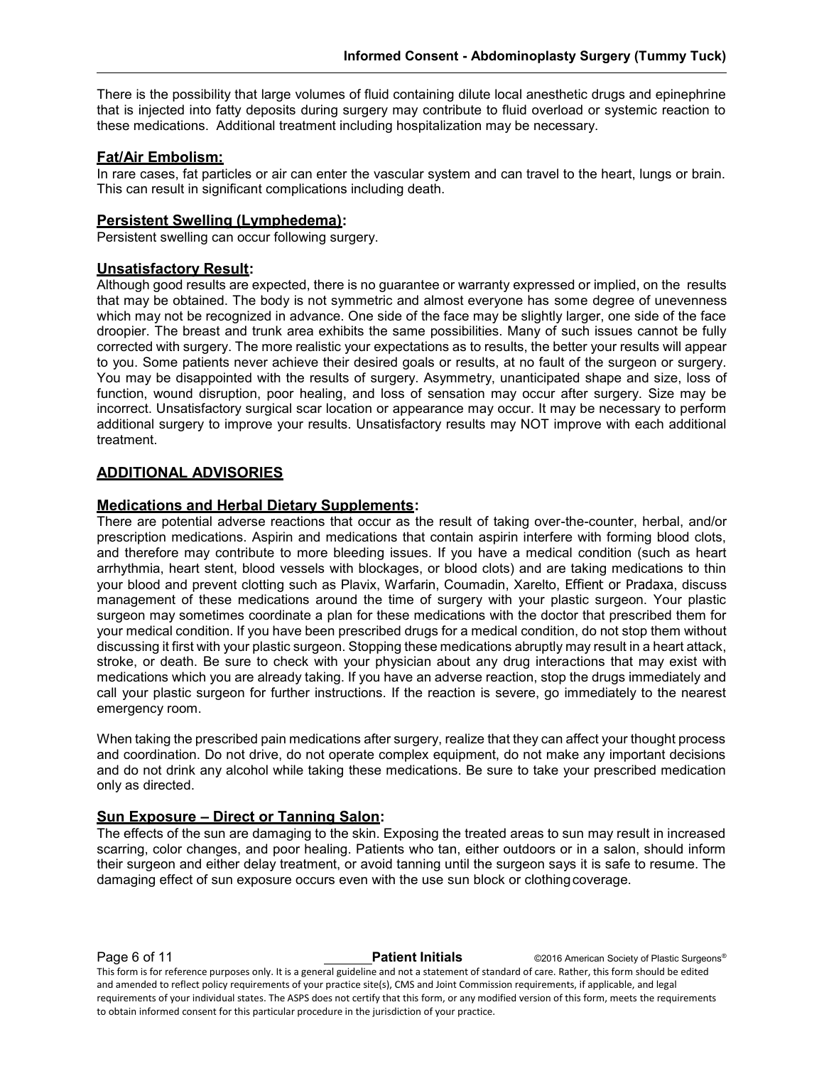There is the possibility that large volumes of fluid containing dilute local anesthetic drugs and epinephrine that is injected into fatty deposits during surgery may contribute to fluid overload or systemic reaction to these medications. Additional treatment including hospitalization may be necessary.

#### **Fat/Air Embolism:**

In rare cases, fat particles or air can enter the vascular system and can travel to the heart, lungs or brain. This can result in significant complications including death.

#### **Persistent Swelling (Lymphedema):**

Persistent swelling can occur following surgery.

#### **Unsatisfactory Result:**

Although good results are expected, there is no guarantee or warranty expressed or implied, on the results that may be obtained. The body is not symmetric and almost everyone has some degree of unevenness which may not be recognized in advance. One side of the face may be slightly larger, one side of the face droopier. The breast and trunk area exhibits the same possibilities. Many of such issues cannot be fully corrected with surgery. The more realistic your expectations as to results, the better your results will appear to you. Some patients never achieve their desired goals or results, at no fault of the surgeon or surgery. You may be disappointed with the results of surgery. Asymmetry, unanticipated shape and size, loss of function, wound disruption, poor healing, and loss of sensation may occur after surgery. Size may be incorrect. Unsatisfactory surgical scar location or appearance may occur. It may be necessary to perform additional surgery to improve your results. Unsatisfactory results may NOT improve with each additional treatment.

#### **ADDITIONAL ADVISORIES**

#### **Medications and Herbal Dietary Supplements:**

There are potential adverse reactions that occur as the result of taking over-the-counter, herbal, and/or prescription medications. Aspirin and medications that contain aspirin interfere with forming blood clots, and therefore may contribute to more bleeding issues. If you have a medical condition (such as heart arrhythmia, heart stent, blood vessels with blockages, or blood clots) and are taking medications to thin your blood and prevent clotting such as Plavix, Warfarin, Coumadin, Xarelto, Effient or Pradaxa, discuss management of these medications around the time of surgery with your plastic surgeon. Your plastic surgeon may sometimes coordinate a plan for these medications with the doctor that prescribed them for your medical condition. If you have been prescribed drugs for a medical condition, do not stop them without discussing it first with your plastic surgeon. Stopping these medications abruptly may result in a heart attack, stroke, or death. Be sure to check with your physician about any drug interactions that may exist with medications which you are already taking. If you have an adverse reaction, stop the drugs immediately and call your plastic surgeon for further instructions. If the reaction is severe, go immediately to the nearest emergency room.

When taking the prescribed pain medications after surgery, realize that they can affect your thought process and coordination. Do not drive, do not operate complex equipment, do not make any important decisions and do not drink any alcohol while taking these medications. Be sure to take your prescribed medication only as directed.

### **Sun Exposure – Direct or Tanning Salon:**

The effects of the sun are damaging to the skin. Exposing the treated areas to sun may result in increased scarring, color changes, and poor healing. Patients who tan, either outdoors or in a salon, should inform their surgeon and either delay treatment, or avoid tanning until the surgeon says it is safe to resume. The damaging effect of sun exposure occurs even with the use sun block or clothingcoverage.

**Page 6 of 11 Patient Initials** ©2016 American Society of Plastic Surgeons<sup>®</sup> This form is for reference purposes only. It is a general guideline and not a statement of standard of care. Rather, this form should be edited and amended to reflect policy requirements of your practice site(s), CMS and Joint Commission requirements, if applicable, and legal requirements of your individual states. The ASPS does not certify that this form, or any modified version of this form, meets the requirements to obtain informed consent for this particular procedure in the jurisdiction of your practice.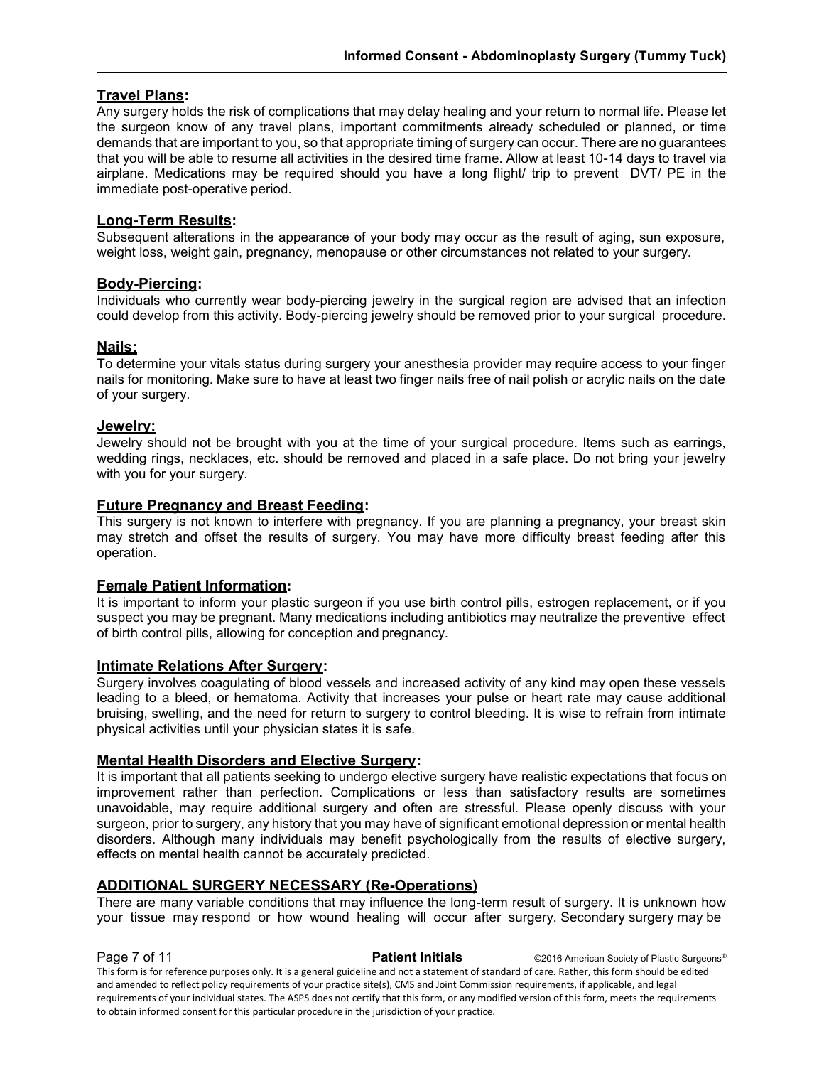#### **Travel Plans:**

Any surgery holds the risk of complications that may delay healing and your return to normal life. Please let the surgeon know of any travel plans, important commitments already scheduled or planned, or time demands that are important to you, so that appropriate timing of surgery can occur. There are no guarantees that you will be able to resume all activities in the desired time frame. Allow at least 10-14 days to travel via airplane. Medications may be required should you have a long flight/ trip to prevent DVT/ PE in the immediate post-operative period.

#### **Long-Term Results:**

Subsequent alterations in the appearance of your body may occur as the result of aging, sun exposure, weight loss, weight gain, pregnancy, menopause or other circumstances not related to your surgery.

#### **Body-Piercing:**

Individuals who currently wear body-piercing jewelry in the surgical region are advised that an infection could develop from this activity. Body-piercing jewelry should be removed prior to your surgical procedure.

#### **Nails:**

To determine your vitals status during surgery your anesthesia provider may require access to your finger nails for monitoring. Make sure to have at least two finger nails free of nail polish or acrylic nails on the date of your surgery.

#### **Jewelry:**

Jewelry should not be brought with you at the time of your surgical procedure. Items such as earrings, wedding rings, necklaces, etc. should be removed and placed in a safe place. Do not bring your jewelry with you for your surgery.

#### **Future Pregnancy and Breast Feeding:**

This surgery is not known to interfere with pregnancy. If you are planning a pregnancy, your breast skin may stretch and offset the results of surgery. You may have more difficulty breast feeding after this operation.

#### **Female Patient Information:**

It is important to inform your plastic surgeon if you use birth control pills, estrogen replacement, or if you suspect you may be pregnant. Many medications including antibiotics may neutralize the preventive effect of birth control pills, allowing for conception and pregnancy.

#### **Intimate Relations After Surgery:**

Surgery involves coagulating of blood vessels and increased activity of any kind may open these vessels leading to a bleed, or hematoma. Activity that increases your pulse or heart rate may cause additional bruising, swelling, and the need for return to surgery to control bleeding. It is wise to refrain from intimate physical activities until your physician states it is safe.

#### **Mental Health Disorders and Elective Surgery:**

It is important that all patients seeking to undergo elective surgery have realistic expectations that focus on improvement rather than perfection. Complications or less than satisfactory results are sometimes unavoidable, may require additional surgery and often are stressful. Please openly discuss with your surgeon, prior to surgery, any history that you may have of significant emotional depression or mental health disorders. Although many individuals may benefit psychologically from the results of elective surgery, effects on mental health cannot be accurately predicted.

#### **ADDITIONAL SURGERY NECESSARY (Re-Operations)**

There are many variable conditions that may influence the long-term result of surgery. It is unknown how your tissue may respond or how wound healing will occur after surgery. Secondary surgery may be

**Page 7 of 11 Patient Initials** ©2016 American Society of Plastic Surgeons<sup>®</sup> This form is for reference purposes only. It is a general guideline and not a statement of standard of care. Rather, this form should be edited and amended to reflect policy requirements of your practice site(s), CMS and Joint Commission requirements, if applicable, and legal requirements of your individual states. The ASPS does not certify that this form, or any modified version of this form, meets the requirements to obtain informed consent for this particular procedure in the jurisdiction of your practice.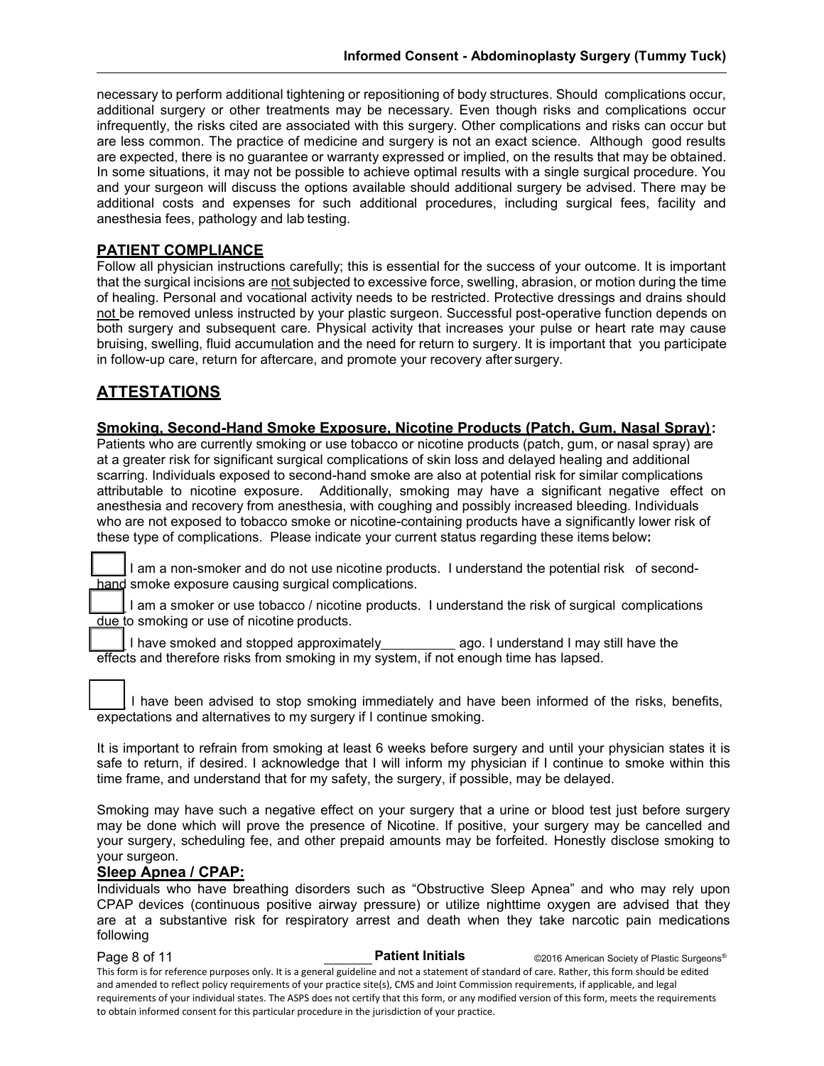necessary to perform additional tightening or repositioning of body structures. Should complications occur, additional surgery or other treatments may be necessary. Even though risks and complications occur infrequently, the risks cited are associated with this surgery. Other complications and risks can occur but are less common. The practice of medicine and surgery is not an exact science. Although good results are expected, there is no guarantee or warranty expressed or implied, on the results that may be obtained. In some situations, it may not be possible to achieve optimal results with a single surgical procedure. You and your surgeon will discuss the options available should additional surgery be advised. There may be additional costs and expenses for such additional procedures, including surgical fees, facility and anesthesia fees, pathology and lab testing.

#### **PATIENT COMPLIANCE**

Follow all physician instructions carefully; this is essential for the success of your outcome. It is important that the surgical incisions are not subjected to excessive force, swelling, abrasion, or motion during the time of healing. Personal and vocational activity needs to be restricted. Protective dressings and drains should not be removed unless instructed by your plastic surgeon. Successful post-operative function depends on both surgery and subsequent care. Physical activity that increases your pulse or heart rate may cause bruising, swelling, fluid accumulation and the need for return to surgery. It is important that you participate in follow-up care, return for aftercare, and promote your recovery after surgery.

### **ATTESTATIONS**

#### **Smoking, Second-Hand Smoke Exposure, Nicotine Products (Patch, Gum, Nasal Spray):**

Patients who are currently smoking or use tobacco or nicotine products (patch, gum, or nasal spray) are at a greater risk for significant surgical complications of skin loss and delayed healing and additional scarring. Individuals exposed to second-hand smoke are also at potential risk for similar complications attributable to nicotine exposure. Additionally, smoking may have a significant negative effect on anesthesia and recovery from anesthesia, with coughing and possibly increased bleeding. Individuals who are not exposed to tobacco smoke or nicotine-containing products have a significantly lower risk of these type of complications. Please indicate your current status regarding these items below**:**

I am a non-smoker and do not use nicotine products. I understand the potential risk of secondhand smoke exposure causing surgical complications.

I am a smoker or use tobacco / nicotine products. I understand the risk of surgical complications due to smoking or use of nicotine products.

I have smoked and stopped approximately ago. I understand I may still have the effects and therefore risks from smoking in my system, if not enough time has lapsed.

I have been advised to stop smoking immediately and have been informed of the risks, benefits, expectations and alternatives to my surgery if I continue smoking.

It is important to refrain from smoking at least 6 weeks before surgery and until your physician states it is safe to return, if desired. I acknowledge that I will inform my physician if I continue to smoke within this time frame, and understand that for my safety, the surgery, if possible, may be delayed.

Smoking may have such a negative effect on your surgery that a urine or blood test just before surgery may be done which will prove the presence of Nicotine. If positive, your surgery may be cancelled and your surgery, scheduling fee, and other prepaid amounts may be forfeited. Honestly disclose smoking to your surgeon.

#### **Sleep Apnea / CPAP:**

Individuals who have breathing disorders such as "Obstructive Sleep Apnea" and who may rely upon CPAP devices (continuous positive airway pressure) or utilize nighttime oxygen are advised that they are at a substantive risk for respiratory arrest and death when they take narcotic pain medications following

**Page 8 of 11 Patient Initials COVID-2016** American Society of Plastic Surgeons<sup>®</sup> This form is for reference purposes only. It is a general guideline and not a statement of standard of care. Rather, this form should be edited and amended to reflect policy requirements of your practice site(s), CMS and Joint Commission requirements, if applicable, and legal requirements of your individual states. The ASPS does not certify that this form, or any modified version of this form, meets the requirements to obtain informed consent for this particular procedure in the jurisdiction of your practice.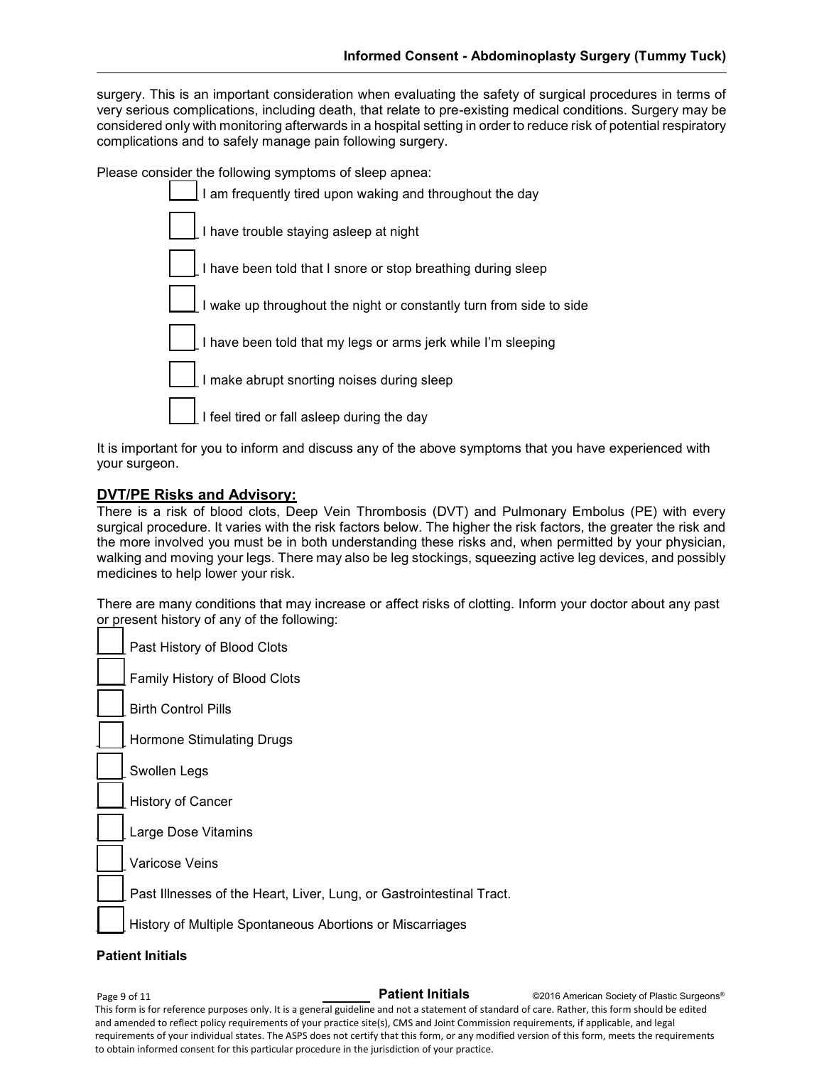surgery. This is an important consideration when evaluating the safety of surgical procedures in terms of very serious complications, including death, that relate to pre-existing medical conditions. Surgery may be considered only with monitoring afterwards in a hospital setting in order to reduce risk of potential respiratory complications and to safely manage pain following surgery.

Please consider the following symptoms of sleep apnea:

I am frequently tired upon waking and throughout the day I have trouble staying asleep at night I have been told that I snore or stop breathing during sleep I wake up throughout the night or constantly turn from side to side I have been told that my legs or arms jerk while I'm sleeping I make abrupt snorting noises during sleep I feel tired or fall asleep during the day

It is important for you to inform and discuss any of the above symptoms that you have experienced with your surgeon.

#### **DVT/PE Risks and Advisory:**

There is a risk of blood clots, Deep Vein Thrombosis (DVT) and Pulmonary Embolus (PE) with every surgical procedure. It varies with the risk factors below. The higher the risk factors, the greater the risk and the more involved you must be in both understanding these risks and, when permitted by your physician, walking and moving your legs. There may also be leg stockings, squeezing active leg devices, and possibly medicines to help lower your risk.

There are many conditions that may increase or affect risks of clotting. Inform your doctor about any past or present history of any of the following:

Past History of Blood Clots

Family History of Blood Clots

\_\_\_\_ Birth Control Pills

Hormone Stimulating Drugs

Swollen Legs

History of Cancer

Large Dose Vitamins

Varicose Veins

Past Illnesses of the Heart, Liver, Lung, or Gastrointestinal Tract.

History of Multiple Spontaneous Abortions or Miscarriages

#### **Patient Initials**

©2016 American Society of Plastic Surgeons® This form is for reference purposes only. It is a general guideline and not a statement of standard of care. Rather, this form should be edited and amended to reflect policy requirements of your practice site(s), CMS and Joint Commission requirements, if applicable, and legal requirements of your individual states. The ASPS does not certify that this form, or any modified version of this form, meets the requirements to obtain informed consent for this particular procedure in the jurisdiction of your practice. Page 9 of 11 **Patient Initials**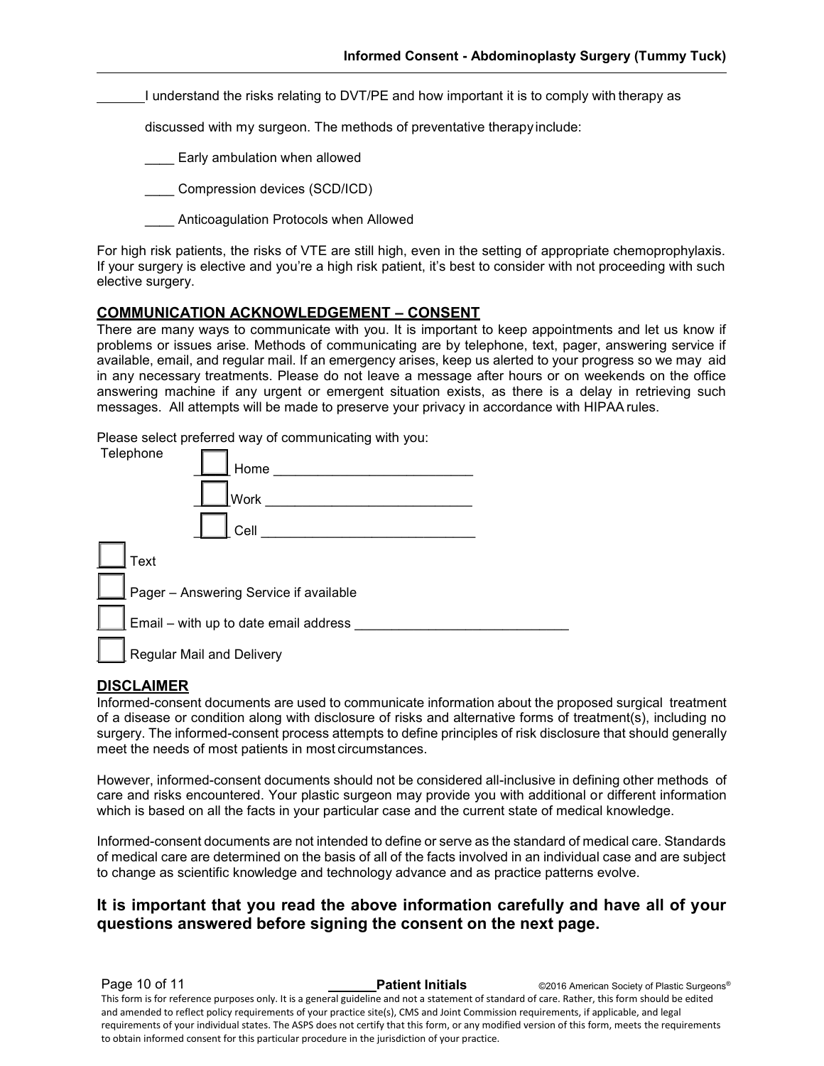I understand the risks relating to DVT/PE and how important it is to comply with therapy as

discussed with my surgeon. The methods of preventative therapy include:

Early ambulation when allowed

Compression devices (SCD/ICD)

\_\_\_\_ Anticoagulation Protocols when Allowed

For high risk patients, the risks of VTE are still high, even in the setting of appropriate chemoprophylaxis. If your surgery is elective and you're a high risk patient, it's best to consider with not proceeding with such elective surgery.

#### **COMMUNICATION ACKNOWLEDGEMENT – CONSENT**

There are many ways to communicate with you. It is important to keep appointments and let us know if problems or issues arise. Methods of communicating are by telephone, text, pager, answering service if available, email, and regular mail. If an emergency arises, keep us alerted to your progress so we may aid in any necessary treatments. Please do not leave a message after hours or on weekends on the office answering machine if any urgent or emergent situation exists, as there is a delay in retrieving such messages. All attempts will be made to preserve your privacy in accordance with HIPAArules.

Please select preferred way of communicating with you:

| Telephone                              | Home                                  |  |
|----------------------------------------|---------------------------------------|--|
|                                        | Work                                  |  |
|                                        | Cell                                  |  |
| Text                                   |                                       |  |
| Pager - Answering Service if available |                                       |  |
|                                        | Email - with up to date email address |  |
|                                        | <b>Regular Mail and Delivery</b>      |  |

#### **DISCLAIMER**

Informed-consent documents are used to communicate information about the proposed surgical treatment of a disease or condition along with disclosure of risks and alternative forms of treatment(s), including no surgery. The informed-consent process attempts to define principles of risk disclosure that should generally meet the needs of most patients in most circumstances.

However, informed-consent documents should not be considered all-inclusive in defining other methods of care and risks encountered. Your plastic surgeon may provide you with additional or different information which is based on all the facts in your particular case and the current state of medical knowledge.

Informed-consent documents are not intended to define or serve as the standard of medical care. Standards of medical care are determined on the basis of all of the facts involved in an individual case and are subject to change as scientific knowledge and technology advance and as practice patterns evolve.

#### **It is important that you read the above information carefully and have all of your questions answered before signing the consent on the next page.**

**Page 10 of 11 Patient Initials Patient Initials** ©2016 American Society of Plastic Surgeons®

This form is for reference purposes only. It is a general guideline and not a statement of standard of care. Rather, this form should be edited and amended to reflect policy requirements of your practice site(s), CMS and Joint Commission requirements, if applicable, and legal requirements of your individual states. The ASPS does not certify that this form, or any modified version of this form, meets the requirements to obtain informed consent for this particular procedure in the jurisdiction of your practice.